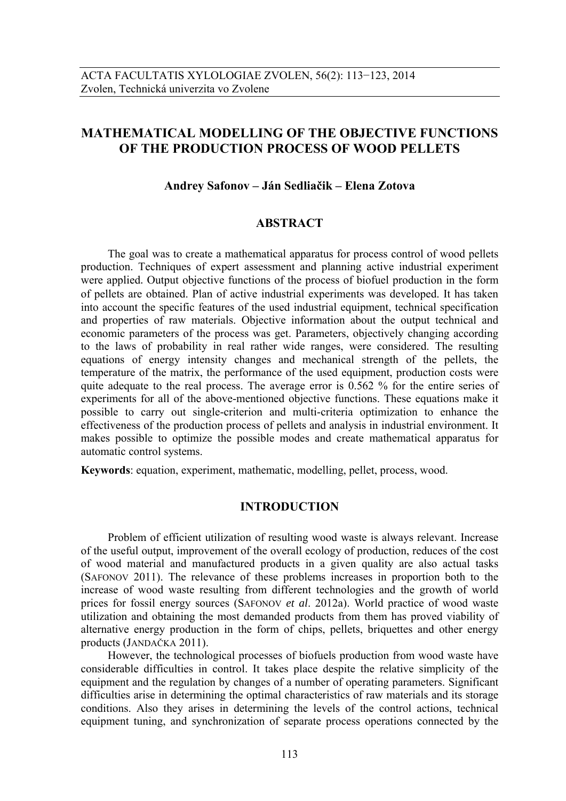# **MATHEMATICAL MODELLING OF THE OBJECTIVE FUNCTIONS OF THE PRODUCTION PROCESS OF WOOD PELLETS**

## **Andrey Safonov – Ján Sedliačik – Elena Zotova**

## **ABSTRACT**

The goal was to create a mathematical apparatus for process control of wood pellets production. Techniques of expert assessment and planning active industrial experiment were applied. Output objective functions of the process of biofuel production in the form of pellets are obtained. Plan of active industrial experiments was developed. It has taken into account the specific features of the used industrial equipment, technical specification and properties of raw materials. Objective information about the output technical and economic parameters of the process was get. Parameters, objectively changing according to the laws of probability in real rather wide ranges, were considered. The resulting equations of energy intensity changes and mechanical strength of the pellets, the temperature of the matrix, the performance of the used equipment, production costs were quite adequate to the real process. The average error is 0.562 % for the entire series of experiments for all of the above-mentioned objective functions. These equations make it possible to carry out single-criterion and multi-criteria optimization to enhance the effectiveness of the production process of pellets and analysis in industrial environment. It makes possible to optimize the possible modes and create mathematical apparatus for automatic control systems.

**Keywords**: equation, experiment, mathematic, modelling, pellet, process, wood.

## **INTRODUCTION**

Problem of efficient utilization of resulting wood waste is always relevant. Increase of the useful output, improvement of the overall ecology of production, reduces of the cost of wood material and manufactured products in a given quality are also actual tasks (SAFONOV 2011). The relevance of these problems increases in proportion both to the increase of wood waste resulting from different technologies and the growth of world prices for fossil energy sources (SAFONOV *et al*. 2012a). World practice of wood waste utilization and obtaining the most demanded products from them has proved viability of alternative energy production in the form of chips, pellets, briquettes and other energy products (JANDAČKA 2011).

However, the technological processes of biofuels production from wood waste have considerable difficulties in control. It takes place despite the relative simplicity of the equipment and the regulation by changes of a number of operating parameters. Significant difficulties arise in determining the optimal characteristics of raw materials and its storage conditions. Also they arises in determining the levels of the control actions, technical equipment tuning, and synchronization of separate process operations connected by the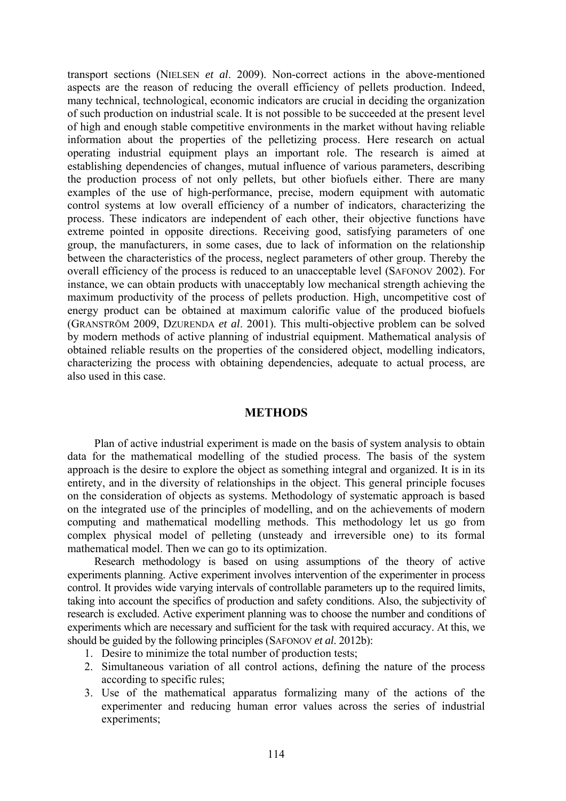transport sections (NIELSEN *et al*. 2009). Non-correct actions in the above-mentioned aspects are the reason of reducing the overall efficiency of pellets production. Indeed, many technical, technological, economic indicators are crucial in deciding the organization of such production on industrial scale. It is not possible to be succeeded at the present level of high and enough stable competitive environments in the market without having reliable information about the properties of the pelletizing process. Here research on actual operating industrial equipment plays an important role. The research is aimed at establishing dependencies of changes, mutual influence of various parameters, describing the production process of not only pellets, but other biofuels either. There are many examples of the use of high-performance, precise, modern equipment with automatic control systems at low overall efficiency of a number of indicators, characterizing the process. These indicators are independent of each other, their objective functions have extreme pointed in opposite directions. Receiving good, satisfying parameters of one group, the manufacturers, in some cases, due to lack of information on the relationship between the characteristics of the process, neglect parameters of other group. Thereby the overall efficiency of the process is reduced to an unacceptable level (SAFONOV 2002). For instance, we can obtain products with unacceptably low mechanical strength achieving the maximum productivity of the process of pellets production. High, uncompetitive cost of energy product can be obtained at maximum calorific value of the produced biofuels (GRANSTRÖM 2009, DZURENDA *et al*. 2001). This multi-objective problem can be solved by modern methods of active planning of industrial equipment. Mathematical analysis of obtained reliable results on the properties of the considered object, modelling indicators, characterizing the process with obtaining dependencies, adequate to actual process, are also used in this case.

## **METHODS**

Plan of active industrial experiment is made on the basis of system analysis to obtain data for the mathematical modelling of the studied process. The basis of the system approach is the desire to explore the object as something integral and organized. It is in its entirety, and in the diversity of relationships in the object. This general principle focuses on the consideration of objects as systems. Methodology of systematic approach is based on the integrated use of the principles of modelling, and on the achievements of modern computing and mathematical modelling methods. This methodology let us go from complex physical model of pelleting (unsteady and irreversible one) to its formal mathematical model. Then we can go to its optimization.

Research methodology is based on using assumptions of the theory of active experiments planning. Active experiment involves intervention of the experimenter in process control. It provides wide varying intervals of controllable parameters up to the required limits, taking into account the specifics of production and safety conditions. Also, the subjectivity of research is excluded. Active experiment planning was to choose the number and conditions of experiments which are necessary and sufficient for the task with required accuracy. At this, we should be guided by the following principles (SAFONOV *et al*. 2012b):

- 1. Desire to minimize the total number of production tests;
- 2. Simultaneous variation of all control actions, defining the nature of the process according to specific rules;
- 3. Use of the mathematical apparatus formalizing many of the actions of the experimenter and reducing human error values across the series of industrial experiments;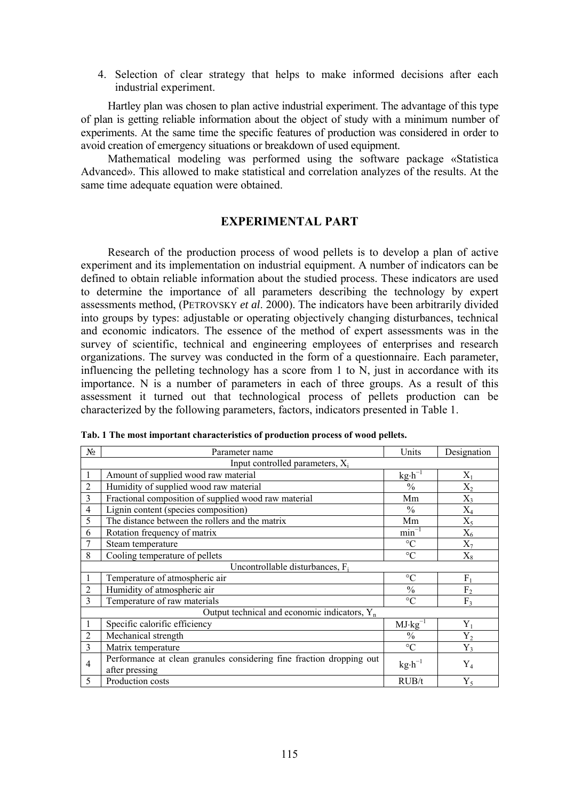4. Selection of clear strategy that helps to make informed decisions after each industrial experiment.

Hartley plan was chosen to plan active industrial experiment. The advantage of this type of plan is getting reliable information about the object of study with a minimum number of experiments. At the same time the specific features of production was considered in order to avoid creation of emergency situations or breakdown of used equipment.

Mathematical modeling was performed using the software package «Statistica Advanced». This allowed to make statistical and correlation analyzes of the results. At the same time adequate equation were obtained.

## **EXPERIMENTAL PART**

Research of the production process of wood pellets is to develop a plan of active experiment and its implementation on industrial equipment. A number of indicators can be defined to obtain reliable information about the studied process. These indicators are used to determine the importance of all parameters describing the technology by expert assessments method, (PETROVSKY *et al*. 2000). The indicators have been arbitrarily divided into groups by types: adjustable or operating objectively changing disturbances, technical and economic indicators. The essence of the method of expert assessments was in the survey of scientific, technical and engineering employees of enterprises and research organizations. The survey was conducted in the form of a questionnaire. Each parameter, influencing the pelleting technology has a score from 1 to N, just in accordance with its importance. N is a number of parameters in each of three groups. As a result of this assessment it turned out that technological process of pellets production can be characterized by the following parameters, factors, indicators presented in Table 1.

| $N_2$          | Parameter name                                                                                                       | Units                               | Designation    |  |  |  |  |  |  |  |
|----------------|----------------------------------------------------------------------------------------------------------------------|-------------------------------------|----------------|--|--|--|--|--|--|--|
|                | Input controlled parameters, X <sub>i</sub>                                                                          |                                     |                |  |  |  |  |  |  |  |
| 1              | Amount of supplied wood raw material                                                                                 | $X_1$                               |                |  |  |  |  |  |  |  |
| $\overline{2}$ | Humidity of supplied wood raw material                                                                               | $k g \cdot h^{-1}$<br>$\frac{0}{0}$ | $X_2$          |  |  |  |  |  |  |  |
| 3              | Fractional composition of supplied wood raw material                                                                 | Mm                                  | $X_3$          |  |  |  |  |  |  |  |
| $\overline{4}$ | Lignin content (species composition)                                                                                 | $\frac{0}{0}$                       | $X_4$          |  |  |  |  |  |  |  |
| 5              | The distance between the rollers and the matrix                                                                      | Mm                                  | $X_5$          |  |  |  |  |  |  |  |
| 6              | Rotation frequency of matrix                                                                                         | $min^{-1}$                          | $X_6$          |  |  |  |  |  |  |  |
|                | $\rm ^{\circ}C$<br>$X_7$<br>Steam temperature                                                                        |                                     |                |  |  |  |  |  |  |  |
| 8              | $\rm ^{\circ}C$<br>Cooling temperature of pellets<br>$X_8$                                                           |                                     |                |  |  |  |  |  |  |  |
|                | Uncontrollable disturbances, $F_i$                                                                                   |                                     |                |  |  |  |  |  |  |  |
|                | $\rm ^{\circ}C$<br>Temperature of atmospheric air<br>$F_1$                                                           |                                     |                |  |  |  |  |  |  |  |
| $\overline{2}$ | $\frac{0}{0}$<br>F <sub>2</sub><br>Humidity of atmospheric air                                                       |                                     |                |  |  |  |  |  |  |  |
| 3              | Temperature of raw materials                                                                                         | $\circ$ C                           | F <sub>3</sub> |  |  |  |  |  |  |  |
|                | Output technical and economic indicators, $Y_n$                                                                      |                                     |                |  |  |  |  |  |  |  |
| 1              | Specific calorific efficiency                                                                                        | $MJ·kg^{-1}$                        | $Y_1$          |  |  |  |  |  |  |  |
| $\overline{2}$ | Mechanical strength<br>$\frac{0}{0}$<br>$Y_2$                                                                        |                                     |                |  |  |  |  |  |  |  |
| 3              | $\rm ^{\circ}C$<br>Matrix temperature<br>$Y_3$                                                                       |                                     |                |  |  |  |  |  |  |  |
| 4              | Performance at clean granules considering fine fraction dropping out<br>$kg \cdot h^{-1}$<br>$Y_4$<br>after pressing |                                     |                |  |  |  |  |  |  |  |
| 5              | Production costs                                                                                                     | RUB/t                               | $Y_5$          |  |  |  |  |  |  |  |

**Tab. 1 The most important characteristics of production process of wood pellets.**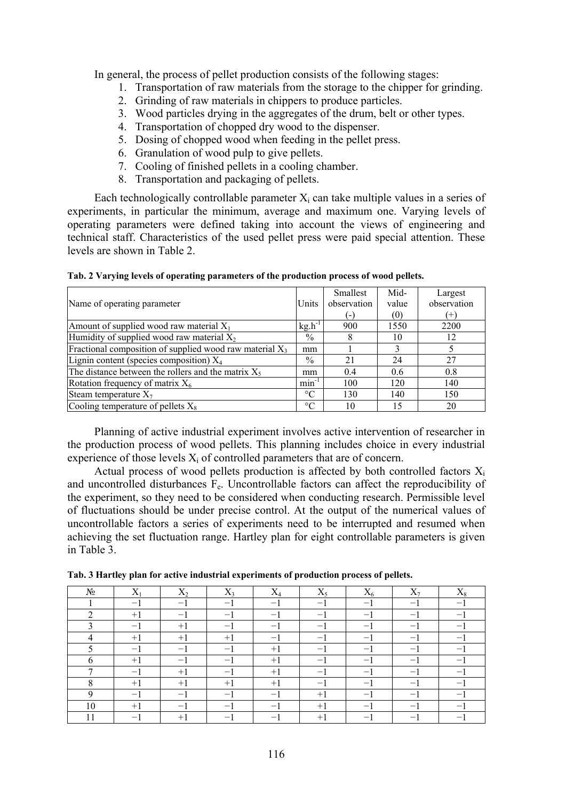In general, the process of pellet production consists of the following stages:

- 1. Transportation of raw materials from the storage to the chipper for grinding.
- 2. Grinding of raw materials in chippers to produce particles.
- 3. Wood particles drying in the aggregates of the drum, belt or other types.
- 4. Transportation of chopped dry wood to the dispenser.
- 5. Dosing of chopped wood when feeding in the pellet press.
- 6. Granulation of wood pulp to give pellets.
- 7. Cooling of finished pellets in a cooling chamber.
- 8. Transportation and packaging of pellets.

Each technologically controllable parameter  $X_i$  can take multiple values in a series of experiments, in particular the minimum, average and maximum one. Varying levels of operating parameters were defined taking into account the views of engineering and technical staff. Characteristics of the used pellet press were paid special attention. These levels are shown in Table 2.

| Name of operating parameter                                | Units           | Smallest<br>observation<br>( – ) | Mid-<br>value<br>(0) | Largest<br>observation<br>$^{(+)}$ |
|------------------------------------------------------------|-----------------|----------------------------------|----------------------|------------------------------------|
| Amount of supplied wood raw material $X_1$                 | $kg.h^{-1}$     | 900                              | 1550                 | 2200                               |
| Humidity of supplied wood raw material $X_2$               | $\%$            | 8                                | 10                   | 12                                 |
| Fractional composition of supplied wood raw material $X_3$ | mm              |                                  |                      |                                    |
| Lignin content (species composition) $X_4$                 | $\frac{0}{0}$   | 21                               | 24                   | 27                                 |
| The distance between the rollers and the matrix $X_5$      | mm              | 0.4                              | 0.6                  | 0.8                                |
| Rotation frequency of matrix $X_6$                         | $min^{-1}$      | 100                              | 120                  | 140                                |
| Steam temperature $X_7$                                    | $\rm ^{\circ}C$ | 130                              | 140                  | 150                                |
| Cooling temperature of pellets $X_8$                       | $\rm ^{\circ}C$ | 10                               | 15                   | 20                                 |

**Tab. 2 Varying levels of operating parameters of the production process of wood pellets.** 

Planning of active industrial experiment involves active intervention of researcher in the production process of wood pellets. This planning includes choice in every industrial experience of those levels  $X_i$  of controlled parameters that are of concern.

Actual process of wood pellets production is affected by both controlled factors  $X_i$ and uncontrolled disturbances Fe. Uncontrollable factors can affect the reproducibility of the experiment, so they need to be considered when conducting research. Permissible level of fluctuations should be under precise control. At the output of the numerical values of uncontrollable factors a series of experiments need to be interrupted and resumed when achieving the set fluctuation range. Hartley plan for eight controllable parameters is given in Table 3.

| $N_2$  | $X_1$ | $X_2$ | $X_3$                    | $X_4$                    | $X_5$                    | $X_6$                    | $X_7$                    | $X_8$                    |
|--------|-------|-------|--------------------------|--------------------------|--------------------------|--------------------------|--------------------------|--------------------------|
|        | $-$   | $-1$  | -                        | $\overline{\phantom{0}}$ | -                        | $\overline{\phantom{0}}$ | -                        |                          |
| ↑      | $+1$  | $-\,$ | $-1$                     | $\overline{\phantom{0}}$ | -                        | $\qquad \qquad -$        | $\overline{\phantom{0}}$ |                          |
|        | -1    | $+1$  | -                        | $\overline{\phantom{0}}$ | $\overline{\phantom{0}}$ | $-1$                     | $\overline{\phantom{0}}$ | -                        |
|        | $+1$  | $+1$  | $+1$                     | $\overline{\phantom{0}}$ | $\qquad \qquad -$        | $-1$                     | $\overline{\phantom{0}}$ | -                        |
|        | — i   | $-\,$ | $-1$                     | $+1$                     | -                        | $-1$                     | $-1$                     | —                        |
| 6      | $+1$  | $-1$  | $\overline{\phantom{0}}$ | $+1$                     | -                        | $-1$                     | -1                       | $\qquad \qquad -$        |
| ⇁      | $-1$  | $+1$  | $\qquad \qquad -$        | $+1$                     | $\qquad \qquad -$        | $-1$                     | $-\mathbf{I}$            | $\qquad \qquad -$        |
| O<br>Ω | $+1$  | $+1$  | $+1$                     | $+1$                     | $-$                      | $-1$                     | $-1$                     | $\overline{\phantom{0}}$ |
| 9      | -     | $-1$  | $-1$                     | -1                       | $+1$                     | $-1$                     | $-1$                     | $\overline{\phantom{0}}$ |
| 10     | $+1$  |       | -1                       | $-$                      | $+1$                     | $-1$                     | $-1$                     | -                        |
| 11     | -     | $+1$  | $-1$                     | -                        | $+1$                     | $-$                      | -                        |                          |

**Tab. 3 Hartley plan for active industrial experiments of production process of pellets.**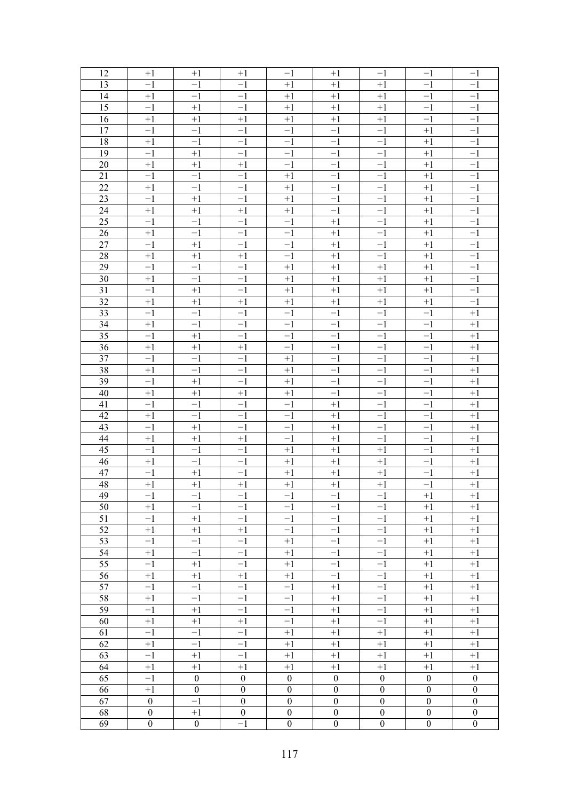| 12              | $+1$             | $+1$             | $+1$             | -1               | $+1$             | $^{-1}$          | $^{-1}$          | $^{-1}$          |
|-----------------|------------------|------------------|------------------|------------------|------------------|------------------|------------------|------------------|
| 13              | $^{-1}$          | $-1$             | $-1$             | $+1$             | $+1$             | $+1$             | -1               | -1               |
| 14              | $+1$             | $-1$             | $-1$             | $+1$             | $+1$             | $+1$             | $-1$             | $^{-1}$          |
| 15              | $-1$             | $+1$             | $-1$             | $+1$             | $+1$             | $+1$             | $^{-1}$          | $^{-1}$          |
| 16              | $+1$             | $+1$             | $+1$             | $+1$             | $+1$             | $+1$             | $^{-1}$          | $-1$             |
| 17              | $-1$             | $-1$             | $-1$             | $^{-1}$          | $-1$             | $^{-1}$          | $+1$             | $^{-1}$          |
| 18              | $+1$             | $-1$             | $-\overline{1}$  | $-1$             | $-1$             | $-1$             | $+1$             | $^{-1}$          |
| 19              | $-1$             | $+1$             | $-1$             | $-1$             | $-1$             | $-1$             | $+1$             | $^{-1}$          |
| 20              | $+1$             | $+1$             | $+1$             | $-1$             | $-1$             | $-1$             | $+1$             | $^{-1}$          |
| 21              | $-1$             | $-1$             | $-1$             | $+1$             | $-1$             | $-1$             | $+1$             | $^{-1}$          |
| 22              | $+1$             | $-1$             | $-\overline{1}$  | $+1$             | $-1$             | $-1$             | $+1$             | $-1$             |
| 23              | $-1$             | $+1$             | $-1$             | $+1$             | $-1$             | $-1$             | $+1$             | $-1$             |
| 24              | $+1$             | $+1$             | $+1$             | $+1$             | $-1$             | $-1$             | $+1$             | $^{-1}$          |
| 25              | $-1$             | $-1$             | $-1$             | $^{-1}$          | $+1$             | $-1$             | $+1$             | $^{-1}$          |
| 26              | $+1$             | $-1$             | $-\overline{1}$  | $-1$             | $+1$             | $-1$             | $+1$             | $-1$             |
| 27              | $-1$             | $+1$             | $-1$             | $-1$             | $+1$             | $-1$             | $+1$             | $-1$             |
| 28              | $+1$             | $+1$             | $+1$             | $-1$             | $+1$             | $-1$             | $+1$             | $-1$             |
| 29              | $-1$             | $-1$             | $-1$             | $+1$             | $+1$             | $+1$             | $+1$             | $^{-1}$          |
| 30              | $+1$             | $-1$             | $-\overline{1}$  | $+1$             | $+1$             | $+1$             | $+1$             | $^{-1}$          |
| 31              | $-1$             | $+1$             | $-1$             | $+1$             | $+1$             | $+1$             | $+1$             | $^{-1}$          |
| $\overline{32}$ | $+1$             | $+1$             | $+1$             | $+1$             | $+1$             | $+1$             | $+1$             | $-1$             |
| $\overline{33}$ | $-1$             | $-1$             | $-1$             | $^{-1}$          | $-1$             | $-1$             | $^{-1}$          | $+1$             |
| $\overline{34}$ | $+1$             | $-1$             | $-\overline{1}$  | $-1$             | $-1$             | $-1$             | $^{-1}$          | $+1$             |
| $\overline{35}$ | $-1$             | $+1$             | $-1$             | $-1$             | $-1$             | $-1$             | $^{-1}$          | $+1$             |
| $\overline{36}$ | $+1$             | $+1$             | $+1$             | $-1$             | $-1$             | $^{-1}$          | $^{-1}$          | $+1$             |
| $\overline{37}$ | $-1$             | $-1$             | $-1$             | $+1$             | $-1$             | $^{-1}$          | $^{-1}$          | $+1$             |
| 38              | $+1$             | $-1$             | $-\overline{1}$  | $+1$             | $-1$             | $^{-1}$          | $^{-1}$          | $+1$             |
| $\overline{39}$ | $-1$             | $+1$             | $-1$             | $+1$             | $-1$             | $^{-1}$          | $^{-1}$          | $+1$             |
| 40              | $+1$             | $+1$             | $+1$             | $+1$             | $-1$             | $^{-1}$          | $^{-1}$          | $+1$             |
| 41              | $-1$             | $-1$             | $-1$             | $^{-1}$          | $+1$             | $^{-1}$          | $^{-1}$          | $+1$             |
| $\overline{42}$ | $+1$             | $-1$             | $-\overline{1}$  | $-1$             | $+1$             | $-1$             | $^{-1}$          | $+1$             |
| $\overline{43}$ | $-1$             | $+1$             | $-1$             | $-1$             | $+1$             | $-1$             | $^{-1}$          | $+1$             |
| 44              | $+1$             | $+1$             | $+1$             | $-1$             | $+1$             | $-1$             | $^{-1}$          | $+1$             |
| 45              | $-1$             | $-1$             | $-1$             | $+1$             | $+1$             | $+1$             | $^{-1}$          | $+1$             |
| $\overline{46}$ | $+1$             | $-1$             | $-1$             | $+1$             | $+1$             | $+1$             | -1               | $+1$             |
| 47              | $-1$             | $+1$             | $-1$             | $+1$             | $+1$             | $+1$             | $^{-1}$          | $+1$             |
| 48              | $+1$             | $+1$             | $+1$             | $+1$             | $+1$             | $+1$             | $-1$             | $+1$             |
| 49              | $\overline{-1}$  | $-1$             | $-1$             | $^{-1}$          | $^{-1}$          | $^{-1}$          | $+\overline{1}$  | $+1$             |
| 50              | $+1$             | $-1$             | $-1$             | $-1$             | $-1$             | $-1$             | $+1$             | $+1$             |
| 51              | $-1$             | $+1$             | $-1$             | $-1$             | $-1$             | $-1$             | $+1$             | $+1$             |
| 52              | $+1$             | $+1$             | $+1$             | $-1$             | $-1$             | $-1$             | $+1$             | $+1$             |
| 53              | $-1$             | $-1$             | $-1$             | $+1$             | $-1$             | $-1$             | $+1$             | $+1$             |
| 54              | $+1$             | $-1$             | $-1$             | $+1$             | $-1$             | $-1$             | $+1$             | $+1$             |
| 55              | $-1$             | $+1$             | $-1$             | $+1$             | $-1$             | $-1$             | $+1$             | $+1$             |
| 56              | $+1$             | $+1$             | $+1$             | $+1$             | $-1$             | $-1$             | $+1$             | $+1$             |
| 57              | $-1$             | $-1$             | $-1$             | $-1$             | $+1$             | $-1$             | $+1$             | $+1$             |
| 58              | $+1$             | $-1$             | $-1$             | $-1$             | $+1$             | $-1$             | $+1$             | $+1$             |
| 59              | $-1$             | $+1$             | $-1$             | $-1$             | $+1$             | $-1$             | $+1$             | $+1$             |
| 60              | $+1$             | $+1$             | $+1$             | $-1$             | $+1$             | $-1$             | $+1$             | $+1$             |
| 61              | $-1$             | $-1$             | $-1$             | $+1$             | $+1$             | $+1$             | $+1$             | $+1$             |
| 62              | $+1$             | $-1$             | $-1$             | $+1$             | $+1$             | $+1$             | $+1$             | $+1$             |
| 63              | $-1$             | $+1$             | $-1$             | $+1$             | $+1$             | $+1$             | $+1$             | $+1$             |
| 64              | $+1$             | $+1$             | $+1$             | $+1$             | $+1$             | $+1$             | $+1$             | $+1$             |
| 65              | $-1$             | $\boldsymbol{0}$ | $\boldsymbol{0}$ | $\boldsymbol{0}$ | $\boldsymbol{0}$ | $\boldsymbol{0}$ | $\boldsymbol{0}$ | $\boldsymbol{0}$ |
| 66              | $+1$             | $\boldsymbol{0}$ | $\boldsymbol{0}$ | $\boldsymbol{0}$ | $\boldsymbol{0}$ | $\boldsymbol{0}$ | $\boldsymbol{0}$ | $\boldsymbol{0}$ |
| 67              | $\boldsymbol{0}$ | $-1$             | $\boldsymbol{0}$ | $\boldsymbol{0}$ | $\boldsymbol{0}$ | $\boldsymbol{0}$ | $\boldsymbol{0}$ | $\boldsymbol{0}$ |
| 68              | $\boldsymbol{0}$ | $+1$             | $\boldsymbol{0}$ | $\boldsymbol{0}$ | $\boldsymbol{0}$ | $\boldsymbol{0}$ | $\boldsymbol{0}$ | $\boldsymbol{0}$ |
| 69              | $\boldsymbol{0}$ | $\boldsymbol{0}$ | $-1$             | $\boldsymbol{0}$ | $\boldsymbol{0}$ | $\boldsymbol{0}$ | $\boldsymbol{0}$ | $\boldsymbol{0}$ |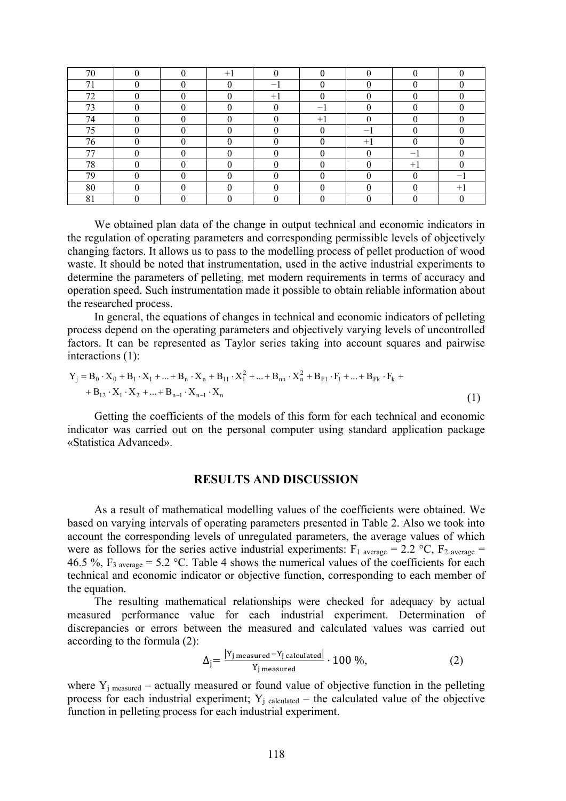| 70       |  | $+1$ |                          |      |      |      |      |
|----------|--|------|--------------------------|------|------|------|------|
| 71       |  |      | $\overline{\phantom{0}}$ |      |      |      |      |
| 72       |  |      | $+1$                     |      |      |      |      |
| 73       |  |      |                          |      |      |      |      |
| 74       |  |      |                          | $+1$ |      |      |      |
| 75       |  |      |                          |      |      |      |      |
| 76       |  |      |                          |      | $+1$ |      |      |
| 77       |  |      |                          |      |      |      |      |
| 78       |  |      |                          |      |      | $+1$ |      |
| 79       |  |      |                          |      |      |      |      |
| 80       |  |      |                          |      |      |      | $+1$ |
| Ω1<br>ОI |  |      |                          |      |      |      |      |

We obtained plan data of the change in output technical and economic indicators in the regulation of operating parameters and corresponding permissible levels of objectively changing factors. It allows us to pass to the modelling process of pellet production of wood waste. It should be noted that instrumentation, used in the active industrial experiments to determine the parameters of pelleting, met modern requirements in terms of accuracy and operation speed. Such instrumentation made it possible to obtain reliable information about the researched process.

In general, the equations of changes in technical and economic indicators of pelleting process depend on the operating parameters and objectively varying levels of uncontrolled factors. It can be represented as Taylor series taking into account squares and pairwise interactions (1):

$$
Y_j = B_0 \cdot X_0 + B_1 \cdot X_1 + ... + B_n \cdot X_n + B_{11} \cdot X_1^2 + ... + B_{nn} \cdot X_n^2 + B_{F1} \cdot F_1 + ... + B_{Fk} \cdot F_k ++ B_{12} \cdot X_1 \cdot X_2 + ... + B_{n-1} \cdot X_{n-1} \cdot X_n
$$
\n(1)

Getting the coefficients of the models of this form for each technical and economic indicator was carried out on the personal computer using standard application package «Statistica Advanced».

#### **RESULTS AND DISCUSSION**

As a result of mathematical modelling values of the coefficients were obtained. We based on varying intervals of operating parameters presented in Table 2. Also we took into account the corresponding levels of unregulated parameters, the average values of which were as follows for the series active industrial experiments:  $F_1$  average = 2.2 °C,  $F_2$  average = 46.5 %,  $F_3$  average = 5.2 °C. Table 4 shows the numerical values of the coefficients for each technical and economic indicator or objective function, corresponding to each member of the equation.

The resulting mathematical relationships were checked for adequacy by actual measured performance value for each industrial experiment. Determination of discrepancies or errors between the measured and calculated values was carried out according to the formula (2):

$$
\Delta_j = \frac{|Y_j \text{ measured} - Y_j \text{ calculated}|}{Y_j \text{ measured}} \cdot 100 \text{ %},\tag{2}
$$

where  $Y_i$  measured – actually measured or found value of objective function in the pelleting process for each industrial experiment;  $Y_j$  calculated – the calculated value of the objective function in pelleting process for each industrial experiment.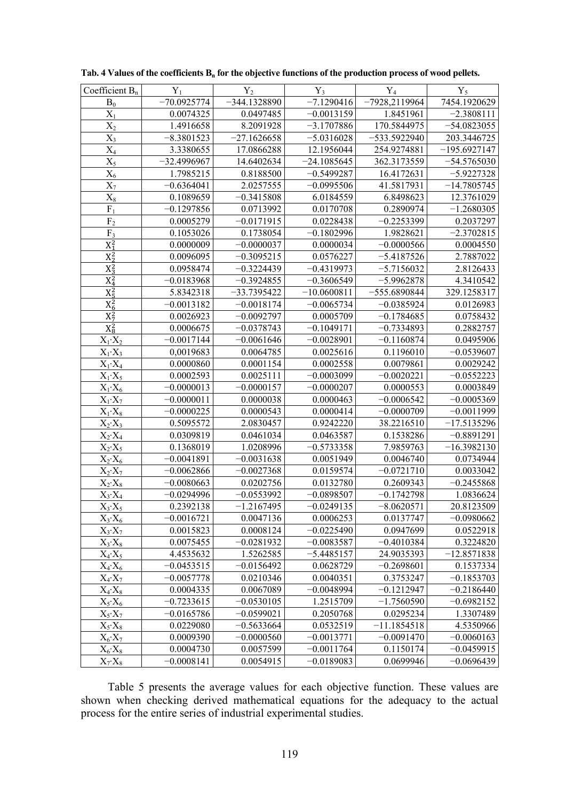| Coefficient $B_n$ | $Y_1$                  | $Y_2$          | $Y_3$         | $Y_4$           | $Y_5$          |
|-------------------|------------------------|----------------|---------------|-----------------|----------------|
| $B_0$             | $-70.0925774$          | $-344.1328890$ | $-7.1290416$  | $-7928,2119964$ | 7454.1920629   |
| $X_1$             | 0.0074325              | 0.0497485      | $-0.0013159$  | 1.8451961       | $-2.3808111$   |
| $X_2$             | 1.4916658              | 8.2091928      | $-3.1707886$  | 170.5844975     | $-54.0823055$  |
| $X_3$             | $-8.3801523$           | $-27.1626658$  | $-5.0316028$  | $-533.5922940$  | 203.3446725    |
| $X_4$             | 3.3380655              | 17.0866288     | 12.1956044    | 254.9274881     | $-195.6927147$ |
| $X_5$             | $-32.4996967$          | 14.6402634     | $-24.1085645$ | 362.3173559     | $-54.5765030$  |
| $X_6$             | 1.7985215              | 0.8188500      | $-0.5499287$  | 16.4172631      | $-5.9227328$   |
| $\overline{X_7}$  | $-0.6364041$           | 2.0257555      | $-0.0995506$  | 41.5817931      | $-14.7805745$  |
| $X_8$             | 0.1089659              | $-0.3415808$   | 6.0184559     | 6.8498623       | 12.3761029     |
| $F_1$             | $-0.1297856$           | 0.0713992      | 0.0170708     | 0.2890974       | $-1.2680305$   |
| $\rm F_2$         | 0.0005279              | $-0.0171915$   | 0.0228438     | $-0.2253399$    | 0.2037297      |
| F <sub>3</sub>    | $\overline{0.1053026}$ | 0.1738054      | $-0.1802996$  | 1.9828621       | $-2.3702815$   |
| $X_1^2$           | 0.0000009              | $-0.0000037$   | 0.0000034     | $-0.0000566$    | 0.0004550      |
| $X_2^2$           | 0.0096095              | $-0.3095215$   | 0.0576227     | $-5.4187526$    | 2.7887022      |
| $X_3^2$           | 0.0958474              | $-0.3224439$   | $-0.4319973$  | $-5.7156032$    | 2.8126433      |
| $X_4^2$           | $-0.0183968$           | $-0.3924855$   | $-0.3606549$  | $-5.9962878$    | 4.3410542      |
| $X_5^2$           | 5.8342318              | $-33.7395422$  | $-10.0600811$ | $-555.6890844$  | 329.1258317    |
| $X_6^2$           | $-0.0013182$           | $-0.0018174$   | $-0.0065734$  | $-0.0385924$    | 0.0126983      |
| $X_7^2$           | 0.0026923              | $-0.0092797$   | 0.0005709     | $-0.1784685$    | 0.0758432      |
| $X_8^2$           | 0.0006675              | $-0.0378743$   | $-0.1049171$  | $-0.7334893$    | 0.2882757      |
| $X_1 \cdot X_2$   | $-0.0017144$           | $-0.0061646$   | $-0.0028901$  | $-0.1160874$    | 0.0495906      |
| $X_1 \cdot X_3$   | 0,0019683              | 0.0064785      | 0.0025616     | 0.1196010       | $-0.0539607$   |
| $X_1 \cdot X_4$   | 0.0000860              | 0.0001154      | 0.0002558     | 0.0079861       | 0.0029242      |
| $X_1 \cdot X_5$   | 0.0002593              | 0.0025111      | $-0.0003099$  | $-0.0020221$    | $-0.0552223$   |
| $X_1 \cdot X_6$   | $-0.0000013$           | $-0.0000157$   | $-0.0000207$  | 0.0000553       | 0.0003849      |
| $X_1 \cdot X_7$   | $-0.0000011$           | 0.0000038      | 0.0000463     | $-0.0006542$    | $-0.0005369$   |
| $X_1 \cdot X_8$   | $-0.0000225$           | 0.0000543      | 0.0000414     | $-0.0000709$    | $-0.0011999$   |
| $X_2 \cdot X_3$   | 0.5095572              | 2.0830457      | 0.9242220     | 38.2216510      | $-17.5135296$  |
| $X_2 \cdot X_4$   | 0.0309819              | 0.0461034      | 0.0463587     | 0.1538286       | $-0.8891291$   |
| $X_2 \cdot X_5$   | 0.1368019              | 1.0208996      | $-0.5733358$  | 7.9859763       | $-16.3982130$  |
| $X_2 \cdot X_6$   | $-0.0041891$           | $-0.0031638$   | 0.0051949     | 0.0046740       | 0.0734944      |
| $X_2 \cdot X_7$   | $-0.0062866$           | $-0.0027368$   | 0.0159574     | $-0.0721710$    | 0.0033042      |
| $X_2 \cdot X_8$   | $-0.0080663$           | 0.0202756      | 0.0132780     | 0.2609343       | $-0.2455868$   |
| $X_3 \cdot X_4$   | $-0.0294996$           | $-0.0553992$   | $-0.0898507$  | $-0.1742798$    | 1.0836624      |
| $X_3 \cdot X_5$   | 0.2392138              | $-1.2167495$   | $-0.0249135$  | $-8.0620571$    | 20.8123509     |
| $X_3 \cdot X_6$   | $-0.0016721$           | 0.0047136      | 0.0006253     | 0.0137747       | $-0.0980662$   |
| $X_3 \cdot X_7$   | 0.0015823              | 0.0008124      | $-0.0225490$  | 0.0947699       | 0.0522918      |
| $X_3 \cdot X_8$   | 0.0075455              | $-0.0281932$   | $-0.0083587$  | $-0.4010384$    | 0.3224820      |
| $X_4 \cdot X_5$   | 4.4535632              | 1.5262585      | $-5.4485157$  | 24.9035393      | $-12.8571838$  |
| $X_4 \cdot X_6$   | $-0.0453515$           | $-0.0156492$   | 0.0628729     | $-0.2698601$    | 0.1537334      |
| $X_4 \cdot X_7$   | $-0.0057778$           | 0.0210346      | 0.0040351     | 0.3753247       | $-0.1853703$   |
| $X_4 \cdot X_8$   | 0.0004335              | 0.0067089      | $-0.0048994$  | $-0.1212947$    | $-0.2186440$   |
| $X_5\cdot X_6$    | $-0.7233615$           | $-0.0530105$   | 1.2515709     | $-1.7560590$    | $-0.6982152$   |
| $X_5\cdot X_7$    | $-0.0165786$           | $-0.0599021$   | 0.2050768     | 0.0295234       | 1.3307489      |
| $X_5\cdot X_8$    | 0.0229080              | $-0.5633664$   | 0.0532519     | $-11.1854518$   | 4.5350966      |
| $X_6\cdot X_7$    | 0.0009390              | $-0.0000560$   | $-0.0013771$  | $-0.0091470$    | $-0.0060163$   |
| $X_6\text{-}X_8$  | 0.0004730              | 0.0057599      | $-0.0011764$  | 0.1150174       | $-0.0459915$   |
| $X_7\cdot X_8$    | $-0.0008141$           | 0.0054915      | $-0.0189083$  | 0.0699946       | $-0.0696439$   |

|  |  | Tab. 4 Values of the coefficients $B_n$ for the objective functions of the production process of wood pellets. |  |  |  |  |  |  |  |
|--|--|----------------------------------------------------------------------------------------------------------------|--|--|--|--|--|--|--|
|  |  |                                                                                                                |  |  |  |  |  |  |  |

Table 5 presents the average values for each objective function. These values are shown when checking derived mathematical equations for the adequacy to the actual process for the entire series of industrial experimental studies.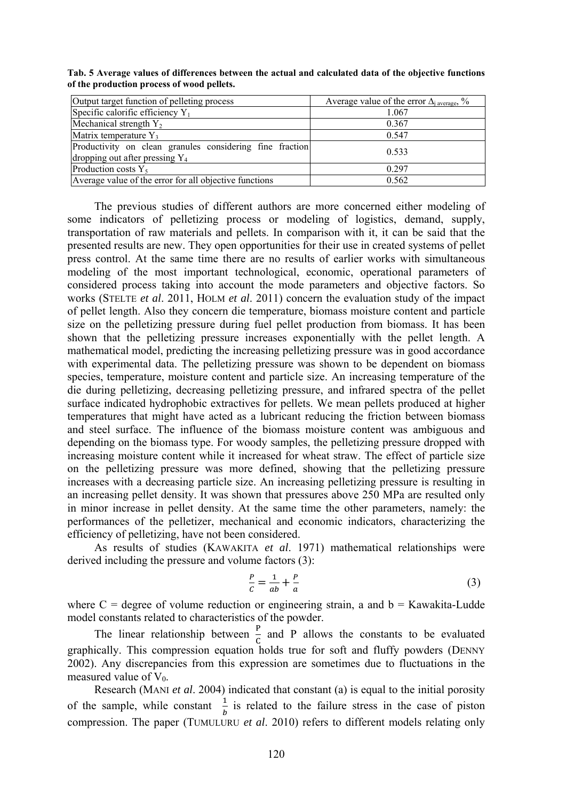| Output target function of pelleting process                                                   | Average value of the error $\Delta_i$ average, % |  |  |  |  |
|-----------------------------------------------------------------------------------------------|--------------------------------------------------|--|--|--|--|
| Specific calorific efficiency $Y_1$                                                           | 1.067                                            |  |  |  |  |
| Mechanical strength $Y_2$                                                                     | 0.367                                            |  |  |  |  |
| Matrix temperature $Y_3$                                                                      | 0.547                                            |  |  |  |  |
| Productivity on clean granules considering fine fraction<br>dropping out after pressing $Y_4$ | 0.533                                            |  |  |  |  |
| Production costs $Y_5$                                                                        | 0.297                                            |  |  |  |  |
| Average value of the error for all objective functions                                        | 0.562                                            |  |  |  |  |

**Tab. 5 Average values of differences between the actual and calculated data of the objective functions of the production process of wood pellets.** 

The previous studies of different authors are more concerned either modeling of some indicators of pelletizing process or modeling of logistics, demand, supply, transportation of raw materials and pellets. In comparison with it, it can be said that the presented results are new. They open opportunities for their use in created systems of pellet press control. At the same time there are no results of earlier works with simultaneous modeling of the most important technological, economic, operational parameters of considered process taking into account the mode parameters and objective factors. So works (STELTE *et al*. 2011, HOLM *et al*. 2011) concern the evaluation study of the impact of pellet length. Also they concern die temperature, biomass moisture content and particle size on the pelletizing pressure during fuel pellet production from biomass. It has been shown that the pelletizing pressure increases exponentially with the pellet length. A mathematical model, predicting the increasing pelletizing pressure was in good accordance with experimental data. The pelletizing pressure was shown to be dependent on biomass species, temperature, moisture content and particle size. An increasing temperature of the die during pelletizing, decreasing pelletizing pressure, and infrared spectra of the pellet surface indicated hydrophobic extractives for pellets. We mean pellets produced at higher temperatures that might have acted as a lubricant reducing the friction between biomass and steel surface. The influence of the biomass moisture content was ambiguous and depending on the biomass type. For woody samples, the pelletizing pressure dropped with increasing moisture content while it increased for wheat straw. The effect of particle size on the pelletizing pressure was more defined, showing that the pelletizing pressure increases with a decreasing particle size. An increasing pelletizing pressure is resulting in an increasing pellet density. It was shown that pressures above 250 MPa are resulted only in minor increase in pellet density. At the same time the other parameters, namely: the performances of the pelletizer, mechanical and economic indicators, characterizing the efficiency of pelletizing, have not been considered.

As results of studies (KAWAKITA *et al*. 1971) mathematical relationships were derived including the pressure and volume factors (3):

$$
\frac{P}{c} = \frac{1}{ab} + \frac{P}{a} \tag{3}
$$

where  $C = degree$  of volume reduction or engineering strain, a and  $b = Kawakita-Ludde$ model constants related to characteristics of the powder.

The linear relationship between  $\frac{P}{q}$  and P allows the constants to be evaluated C graphically. This compression equation holds true for soft and fluffy powders (DENNY 2002). Any discrepancies from this expression are sometimes due to fluctuations in the measured value of  $V_0$ .

Research (MANI *et al*. 2004) indicated that constant (a) is equal to the initial porosity of the sample, while constant  $\frac{1}{b}$  is related to the failure stress in the case of piston compression. The paper (TUMULURU *et al*. 2010) refers to different models relating only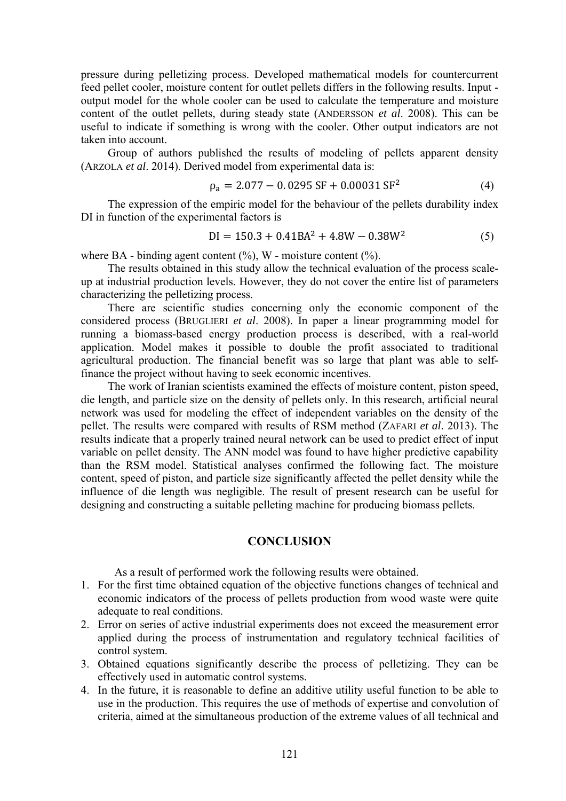pressure during pelletizing process. Developed mathematical models for countercurrent feed pellet cooler, moisture content for outlet pellets differs in the following results. Input output model for the whole cooler can be used to calculate the temperature and moisture content of the outlet pellets, during steady state (ANDERSSON *et al*. 2008). This can be useful to indicate if something is wrong with the cooler. Other output indicators are not taken into account.

Group of authors published the results of modeling of pellets apparent density (ARZOLA *et al*. 2014). Derived model from experimental data is:

$$
\rho_a = 2.077 - 0.0295 SF + 0.00031 SF^2 \tag{4}
$$

The expression of the empiric model for the behaviour of the pellets durability index DI in function of the experimental factors is

$$
DI = 150.3 + 0.41BA^2 + 4.8W - 0.38W^2
$$
 (5)

where BA - binding agent content  $(\% )$ , W - moisture content  $(\% )$ .

The results obtained in this study allow the technical evaluation of the process scaleup at industrial production levels. However, they do not cover the entire list of parameters characterizing the pelletizing process.

There are scientific studies concerning only the economic component of the considered process (BRUGLIERI *et al*. 2008). In paper a linear programming model for running a biomass-based energy production process is described, with a real-world application. Model makes it possible to double the profit associated to traditional agricultural production. The financial benefit was so large that plant was able to selffinance the project without having to seek economic incentives.

The work of Iranian scientists examined the effects of moisture content, piston speed, die length, and particle size on the density of pellets only. In this research, artificial neural network was used for modeling the effect of independent variables on the density of the pellet. The results were compared with results of RSM method (ZAFARI *et al*. 2013). The results indicate that a properly trained neural network can be used to predict effect of input variable on pellet density. The ANN model was found to have higher predictive capability than the RSM model. Statistical analyses confirmed the following fact. The moisture content, speed of piston, and particle size significantly affected the pellet density while the influence of die length was negligible. The result of present research can be useful for designing and constructing a suitable pelleting machine for producing biomass pellets.

#### **CONCLUSION**

As a result of performed work the following results were obtained.

- 1. For the first time obtained equation of the objective functions changes of technical and economic indicators of the process of pellets production from wood waste were quite adequate to real conditions.
- 2. Error on series of active industrial experiments does not exceed the measurement error applied during the process of instrumentation and regulatory technical facilities of control system.
- 3. Obtained equations significantly describe the process of pelletizing. They can be effectively used in automatic control systems.
- 4. In the future, it is reasonable to define an additive utility useful function to be able to use in the production. This requires the use of methods of expertise and convolution of criteria, aimed at the simultaneous production of the extreme values of all technical and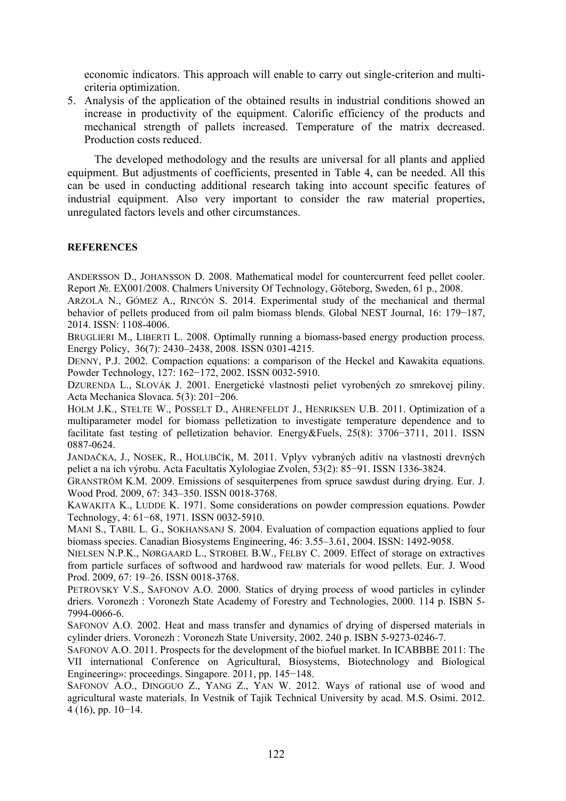economic indicators. This approach will enable to carry out single-criterion and multicriteria optimization.

5. Analysis of the application of the obtained results in industrial conditions showed an increase in productivity of the equipment. Calorific efficiency of the products and mechanical strength of pallets increased. Temperature of the matrix decreased. Production costs reduced.

The developed methodology and the results are universal for all plants and applied equipment. But adjustments of coefficients, presented in Table 4, can be needed. All this can be used in conducting additional research taking into account specific features of industrial equipment. Also very important to consider the raw material properties, unregulated factors levels and other circumstances.

#### **REFERENCES**

ANDERSSON D., JOHANSSON D. 2008. Mathematical model for countercurrent feed pellet cooler. Report №. EX001/2008. Chalmers University Of Technology, Göteborg, Sweden, 61 p., 2008.

ARZOLA N., GÓMEZ A., RINCÓN S. 2014. Experimental study of the mechanical and thermal behavior of pellets produced from oil palm biomass blends. Global NEST Journal, 16: 179−187, 2014. ISSN: 1108-4006.

BRUGLIERI M., LIBERTI L. 2008. Optimally running a biomass-based energy production process. Energy Policy, 36(7): 2430–2438, 2008. ISSN 0301-4215.

DENNY, P.J. 2002. Compaction equations: a comparison of the Heckel and Kawakita equations. Powder Technology, 127: 162−172, 2002. ISSN 0032-5910.

DZURENDA L., SLOVÁK J. 2001. Energetické vlastnosti peliet vyrobených zo smrekovej piliny. Acta Mechanica Slovaca. 5(3): 201−206.

HOLM J.K., STELTE W., POSSELT D., AHRENFELDT J., HENRIKSEN U.B. 2011. Optimization of a multiparameter model for biomass pelletization to investigate temperature dependence and to facilitate fast testing of pelletization behavior. Energy&Fuels, 25(8): 3706−3711, 2011. ISSN 0887-0624.

JANDAČKA, J., NOSEK, R., HOLUBČÍK, M. 2011. Vplyv vybraných aditív na vlastnosti drevných peliet a na ich výrobu. Acta Facultatis Xylologiae Zvolen, 53(2): 85−91. ISSN 1336-3824.

GRANSTRÖM K.M. 2009. Emissions of sesquiterpenes from spruce sawdust during drying. Eur. J. Wood Prod. 2009, 67: 343–350. ISSN 0018-3768.

KAWAKITA K., LUDDE K. 1971. Some considerations on powder compression equations. Powder Technology, 4: 61−68, 1971. ISSN 0032-5910.

MANI S., TABIL L. G., SOKHANSANJ S. 2004. Evaluation of compaction equations applied to four biomass species. Canadian Biosystems Engineering, 46: 3.55–3.61, 2004. ISSN: 1492-9058.

NIELSEN N.P.K., NØRGAARD L., STROBEL B.W., FELBY C. 2009. Effect of storage on extractives from particle surfaces of softwood and hardwood raw materials for wood pellets. Eur. J. Wood Prod. 2009, 67: 19–26. ISSN 0018-3768.

PETROVSKY V.S., SAFONOV A.O. 2000. Statics of drying process of wood particles in cylinder driers. Voronezh : Voronezh State Academy of Forestry and Technologies, 2000. 114 p. ISBN 5- 7994-0066-6.

SAFONOV A.O. 2002. Heat and mass transfer and dynamics of drying of dispersed materials in cylinder driers. Voronezh : Voronezh State University, 2002. 240 p. ISBN 5-9273-0246-7.

SAFONOV A.O. 2011. Prospects for the development of the biofuel market. In ICABBBE 2011: The VII international Conference on Agricultural, Biosystems, Biotechnology and Biological Engineering»: proceedings. Singapore. 2011, pp. 145−148.

SAFONOV A.O., DINGGUO Z., YANG Z., YAN W. 2012. Ways of rational use of wood and agricultural waste materials. In Vestnik of Tajik Technical University by acad. M.S. Osimi. 2012. 4 (16), pp. 10−14.